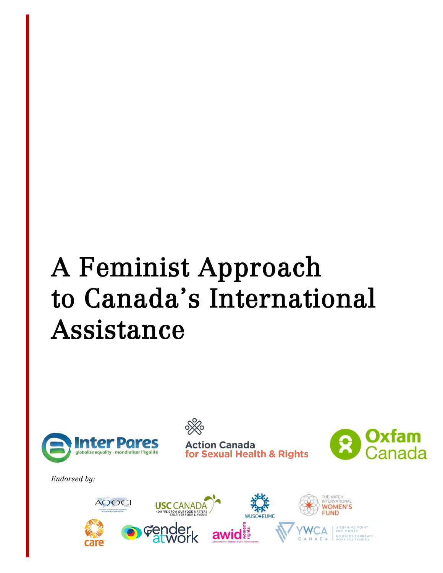# A Feminist Approach to Canada's International Assistance





tion Canada **Dr Sexual Health & Rights** 



*Endorsed by:*

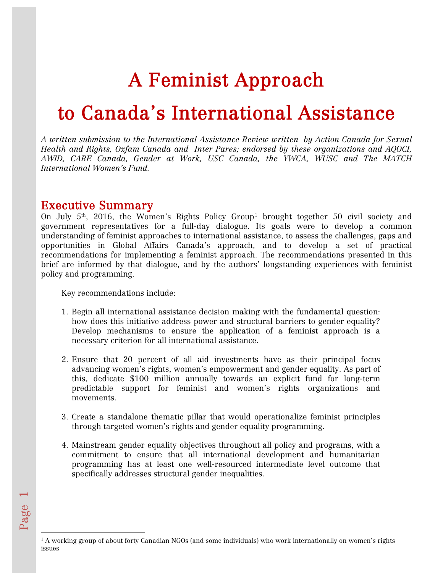## A Feminist Approach

## to Canada's International Assistance

*A written submission to the International Assistance Review written by Action Canada for Sexual Health and Rights, Oxfam Canada and Inter Pares; endorsed by these organizations and AQOCI, AWID, CARE Canada, Gender at Work, USC Canada, the YWCA, WUSC and The MATCH International Women's Fund.*

## Executive Summary

On July 5<sup>th</sup>, 20[1](#page-1-0)6, the Women's Rights Policy Group<sup>1</sup> brought together 50 civil society and government representatives for a full-day dialogue. Its goals were to develop a common understanding of feminist approaches to international assistance, to assess the challenges, gaps and opportunities in Global Affairs Canada's approach, and to develop a set of practical recommendations for implementing a feminist approach. The recommendations presented in this brief are informed by that dialogue, and by the authors' longstanding experiences with feminist policy and programming.

Key recommendations include:

- 1. Begin all international assistance decision making with the fundamental question: how does this initiative address power and structural barriers to gender equality? Develop mechanisms to ensure the application of a feminist approach is a necessary criterion for all international assistance.
- 2. Ensure that 20 percent of all aid investments have as their principal focus advancing women's rights, women's empowerment and gender equality. As part of this, dedicate \$100 million annually towards an explicit fund for long-term predictable support for feminist and women's rights organizations and movements.
- 3. Create a standalone thematic pillar that would operationalize feminist principles through targeted women's rights and gender equality programming.
- 4. Mainstream gender equality objectives throughout all policy and programs, with a commitment to ensure that all international development and humanitarian programming has at least one well-resourced intermediate level outcome that specifically addresses structural gender inequalities.

 $\overline{\phantom{a}}$ 

 $\overline{\phantom{0}}$ 

<span id="page-1-0"></span><sup>&</sup>lt;sup>1</sup> A working group of about forty Canadian NGOs (and some individuals) who work internationally on women's rights issues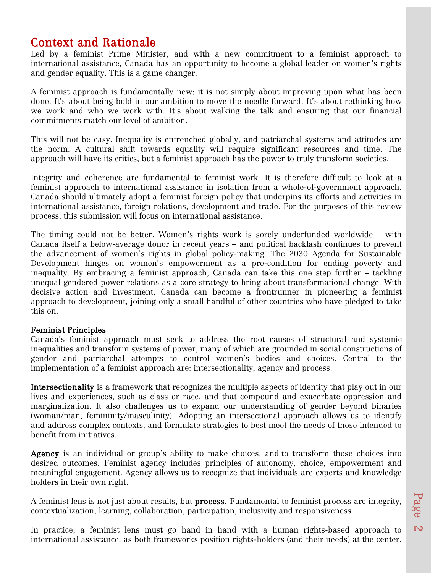Context and Rationale<br>Led by a feminist Prime Minister, and with a new commitment to a feminist approach to international assistance, Canada has an opportunity to become a global leader on women's rights and gender equality. This is a game changer.

A feminist approach is fundamentally new; it is not simply about improving upon what has been done. It's about being bold in our ambition to move the needle forward. It's about rethinking how we work and who we work with. It's about walking the talk and ensuring that our financial commitments match our level of ambition.

This will not be easy. Inequality is entrenched globally, and patriarchal systems and attitudes are the norm. A cultural shift towards equality will require significant resources and time. The approach will have its critics, but a feminist approach has the power to truly transform societies.

Integrity and coherence are fundamental to feminist work. It is therefore difficult to look at a feminist approach to international assistance in isolation from a whole-of-government approach. Canada should ultimately adopt a feminist foreign policy that underpins its efforts and activities in international assistance, foreign relations, development and trade. For the purposes of this review process, this submission will focus on international assistance.

The timing could not be better. Women's rights work is sorely underfunded worldwide – with Canada itself a below-average donor in recent years – and political backlash continues to prevent the advancement of women's rights in global policy-making. The 2030 Agenda for Sustainable Development hinges on women's empowerment as a pre-condition for ending poverty and inequality. By embracing a feminist approach, Canada can take this one step further – tackling unequal gendered power relations as a core strategy to bring about transformational change. With decisive action and investment, Canada can become a frontrunner in pioneering a feminist approach to development, joining only a small handful of other countries who have pledged to take this on.

#### Feminist Principles

Canada's feminist approach must seek to address the root causes of structural and systemic inequalities and transform systems of power, many of which are grounded in social constructions of gender and patriarchal attempts to control women's bodies and choices. Central to the implementation of a feminist approach are: intersectionality, agency and process.

Intersectionality is a framework that recognizes the multiple aspects of identity that play out in our lives and experiences, such as class or race, and that compound and exacerbate oppression and marginalization. It also challenges us to expand our understanding of gender beyond binaries (woman/man, femininity/masculinity). Adopting an intersectional approach allows us to identify and address complex contexts, and formulate strategies to best meet the needs of those intended to benefit from initiatives.

Agency is an individual or group's ability to make choices, and to transform those choices into desired outcomes. Feminist agency includes principles of autonomy, choice, empowerment and meaningful engagement. Agency allows us to recognize that individuals are experts and knowledge holders in their own right.

A feminist lens is not just about results, but process. Fundamental to feminist process are integrity, contextualization, learning, collaboration, participation, inclusivity and responsiveness.

In practice, a feminist lens must go hand in hand with a human rights-based approach to international assistance, as both frameworks position rights-holders (and their needs) at the center.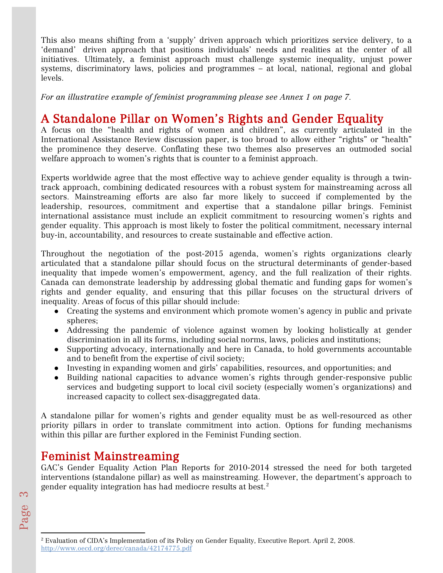This also means shifting from a 'supply' driven approach which prioritizes service delivery, to a 'demand' driven approach that positions individuals' needs and realities at the center of all initiatives. Ultimately, a feminist approach must challenge systemic inequality, unjust power systems, discriminatory laws, policies and programmes – at local, national, regional and global levels.

*For an illustrative example of feminist programming please see Annex 1 on page 7.*

## A Standalone Pillar on Women's Rights and Gender Equality A focus on the "health and rights of women and children", as currently articulated in the

International Assistance Review discussion paper, is too broad to allow either "rights" or "health" the prominence they deserve. Conflating these two themes also preserves an outmoded social welfare approach to women's rights that is counter to a feminist approach.

Experts worldwide agree that the most effective way to achieve gender equality is through a twintrack approach, combining dedicated resources with a robust system for mainstreaming across all sectors. Mainstreaming efforts are also far more likely to succeed if complemented by the leadership, resources, commitment and expertise that a standalone pillar brings. Feminist international assistance must include an explicit commitment to resourcing women's rights and gender equality. This approach is most likely to foster the political commitment, necessary internal buy-in, accountability, and resources to create sustainable and effective action.

Throughout the negotiation of the post-2015 agenda, women's rights organizations clearly articulated that a standalone pillar should focus on the structural determinants of gender-based inequality that impede women's empowerment, agency, and the full realization of their rights. Canada can demonstrate leadership by addressing global thematic and funding gaps for women's rights and gender equality, and ensuring that this pillar focuses on the structural drivers of inequality. Areas of focus of this pillar should include:

- Creating the systems and environment which promote women's agency in public and private spheres;
- Addressing the pandemic of violence against women by looking holistically at gender discrimination in all its forms, including social norms, laws, policies and institutions;
- Supporting advocacy, internationally and here in Canada, to hold governments accountable and to benefit from the expertise of civil society;
- Investing in expanding women and girls' capabilities, resources, and opportunities; and
- Building national capacities to advance women's rights through gender-responsive public services and budgeting support to local civil society (especially women's organizations) and increased capacity to collect sex-disaggregated data.

A standalone pillar for women's rights and gender equality must be as well-resourced as other priority pillars in order to translate commitment into action. Options for funding mechanisms within this pillar are further explored in the Feminist Funding section.

Feminist Mainstreaming<br>GAC's Gender Equality Action Plan Reports for 2010-2014 stressed the need for both targeted interventions (standalone pillar) as well as mainstreaming. However, the department's approach to gender equality integration has had mediocre results at best.[2](#page-3-0)

 $\overline{\phantom{a}}$ 

<span id="page-3-0"></span><sup>2</sup> Evaluation of CIDA's Implementation of its Policy on Gender Equality, Executive Report. April 2, 2008. <http://www.oecd.org/derec/canada/42174775.pdf>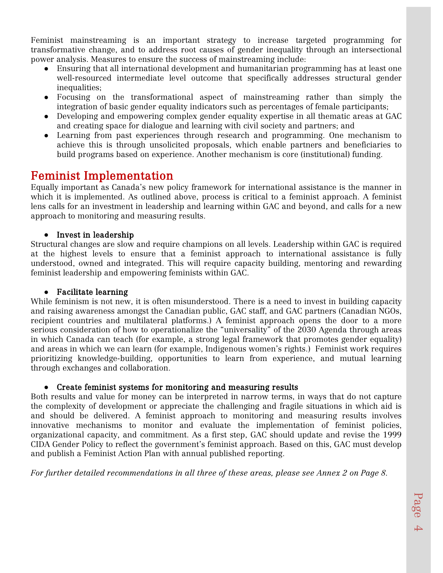Feminist mainstreaming is an important strategy to increase targeted programming for transformative change, and to address root causes of gender inequality through an intersectional power analysis. Measures to ensure the success of mainstreaming include:

- Ensuring that all international development and humanitarian programming has at least one well-resourced intermediate level outcome that specifically addresses structural gender inequalities;
- Focusing on the transformational aspect of mainstreaming rather than simply the integration of basic gender equality indicators such as percentages of female participants;
- Developing and empowering complex gender equality expertise in all thematic areas at GAC and creating space for dialogue and learning with civil society and partners; and
- Learning from past experiences through research and programming. One mechanism to achieve this is through unsolicited proposals, which enable partners and beneficiaries to build programs based on experience. Another mechanism is core (institutional) funding.

**Feminist Implementation**<br>Equally important as Canada's new policy framework for international assistance is the manner in which it is implemented. As outlined above, process is critical to a feminist approach. A feminist lens calls for an investment in leadership and learning within GAC and beyond, and calls for a new approach to monitoring and measuring results.

#### ● Invest in leadership

Structural changes are slow and require champions on all levels. Leadership within GAC is required at the highest levels to ensure that a feminist approach to international assistance is fully understood, owned and integrated. This will require capacity building, mentoring and rewarding feminist leadership and empowering feminists within GAC.

#### ● Facilitate learning

While feminism is not new, it is often misunderstood. There is a need to invest in building capacity and raising awareness amongst the Canadian public, GAC staff, and GAC partners (Canadian NGOs, recipient countries and multilateral platforms.) A feminist approach opens the door to a more serious consideration of how to operationalize the "universality" of the 2030 Agenda through areas in which Canada can teach (for example, a strong legal framework that promotes gender equality) and areas in which we can learn (for example, Indigenous women's rights.) Feminist work requires prioritizing knowledge-building, opportunities to learn from experience, and mutual learning through exchanges and collaboration.

### ● Create feminist systems for monitoring and measuring results

Both results and value for money can be interpreted in narrow terms, in ways that do not capture the complexity of development or appreciate the challenging and fragile situations in which aid is and should be delivered. A feminist approach to monitoring and measuring results involves innovative mechanisms to monitor and evaluate the implementation of feminist policies, organizational capacity, and commitment. As a first step, GAC should update and revise the 1999 CIDA Gender Policy to reflect the government's feminist approach. Based on this, GAC must develop and publish a Feminist Action Plan with annual published reporting.

*For further detailed recommendations in all three of these areas, please see Annex 2 on Page 8.*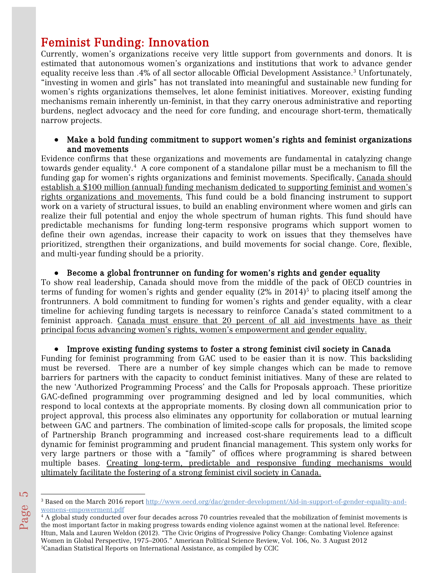Feminist Funding: Innovation<br>Currently, women's organizations receive very little support from governments and donors. It is estimated that autonomous women's organizations and institutions that work to advance gender equality receive less than .4% of all sector allocable Official Development Assistance.[3](#page-5-0) Unfortunately, "investing in women and girls" has not translated into meaningful and sustainable new funding for women's rights organizations themselves, let alone feminist initiatives. Moreover, existing funding mechanisms remain inherently un-feminist, in that they carry onerous administrative and reporting burdens, neglect advocacy and the need for core funding, and encourage short-term, thematically narrow projects.

#### ● Make a bold funding commitment to support women's rights and feminist organizations and movements

Evidence confirms that these organizations and movements are fundamental in catalyzing change towards gender equality.[4](#page-5-1) A core component of a standalone pillar must be a mechanism to fill the funding gap for women's rights organizations and feminist movements. Specifically, Canada should establish a \$100 million (annual) funding mechanism dedicated to supporting feminist and women's rights organizations and movements. This fund could be a bold financing instrument to support work on a variety of structural issues, to build an enabling environment where women and girls can realize their full potential and enjoy the whole spectrum of human rights. This fund should have predictable mechanisms for funding long-term responsive programs which support women to define their own agendas, increase their capacity to work on issues that they themselves have prioritized, strengthen their organizations, and build movements for social change. Core, flexible, and multi-year funding should be a priority.

#### ● Become a global frontrunner on funding for women's rights and gender equality

To show real leadership, Canada should move from the middle of the pack of OECD countries in terms of funding for women's rights and gender equality  $(2\%$  in  $2014)^5$  to placing itself among the frontrunners. A bold commitment to funding for women's rights and gender equality, with a clear timeline for achieving funding targets is necessary to reinforce Canada's stated commitment to a feminist approach. Canada must ensure that 20 percent of all aid investments have as their principal focus advancing women's rights, women's empowerment and gender equality.

#### ● Improve existing funding systems to foster a strong feminist civil society in Canada

Funding for feminist programming from GAC used to be easier than it is now. This backsliding must be reversed. There are a number of key simple changes which can be made to remove barriers for partners with the capacity to conduct feminist initiatives. Many of these are related to the new 'Authorized Programming Process' and the Calls for Proposals approach. These prioritize GAC-defined programming over programming designed and led by local communities, which respond to local contexts at the appropriate moments. By closing down all communication prior to project approval, this process also eliminates any opportunity for collaboration or mutual learning between GAC and partners. The combination of limited-scope calls for proposals, the limited scope of Partnership Branch programming and increased cost-share requirements lead to a difficult dynamic for feminist programming and prudent financial management. This system only works for very large partners or those with a "family" of offices where programming is shared between multiple bases. Creating long-term, predictable and responsive funding mechanisms would ultimately facilitate the fostering of a strong feminist civil society in Canada.

l

<span id="page-5-1"></span><span id="page-5-0"></span>Page  $\mathfrak{c}$ 

<sup>&</sup>lt;sup>3</sup> Based on the March 2016 report [http://www.oecd.org/dac/gender-development/Aid-in-support-of-gender-equality-and](https://www.google.com/url?q=http://www.oecd.org/dac/gender-development/Aid-in-support-of-gender-equality-and-womens-empowerment.pdf&sa=D&ust=1469053057416000&usg=AFQjCNFIWzalntDRbWzZcrzGOdDZ06WjJA)[womens-empowerment.pdf](https://www.google.com/url?q=http://www.oecd.org/dac/gender-development/Aid-in-support-of-gender-equality-and-womens-empowerment.pdf&sa=D&ust=1469053057416000&usg=AFQjCNFIWzalntDRbWzZcrzGOdDZ06WjJA)

<span id="page-5-2"></span><sup>4</sup> A global study conducted over four decades across 70 countries revealed that the mobilization of feminist movements is the most important factor in making progress towards ending violence against women at the national level. Reference: Htun, Mala and Lauren Weldon (2012). "The Civic Origins of Progressive Policy Change: Combating Violence against Women in Global Perspective, 1975–2005." American Political Science Review, Vol. 106, No. 3 August 2012 5Canadian Statistical Reports on International Assistance, as compiled by CCIC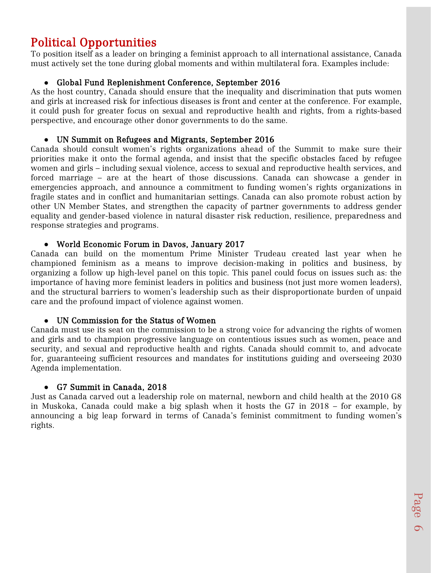Political Opportunities<br>To position itself as a leader on bringing a feminist approach to all international assistance, Canada must actively set the tone during global moments and within multilateral fora. Examples include:

### ● Global Fund Replenishment Conference, September 2016

As the host country, Canada should ensure that the inequality and discrimination that puts women and girls at increased risk for infectious diseases is front and center at the conference. For example, it could push for greater focus on sexual and reproductive health and rights, from a rights-based perspective, and encourage other donor governments to do the same.

### ● UN Summit on Refugees and Migrants, September 2016

Canada should consult women's rights organizations ahead of the Summit to make sure their priorities make it onto the formal agenda, and insist that the specific obstacles faced by refugee women and girls – including sexual violence, access to sexual and reproductive health services, and forced marriage – are at the heart of those discussions. Canada can showcase a gender in emergencies approach, and announce a commitment to funding women's rights organizations in fragile states and in conflict and humanitarian settings. Canada can also promote robust action by other UN Member States, and strengthen the capacity of partner governments to address gender equality and gender-based violence in natural disaster risk reduction, resilience, preparedness and response strategies and programs.

#### ● World Economic Forum in Davos, January 2017

Canada can build on the momentum Prime Minister Trudeau created last year when he championed feminism as a means to improve decision-making in politics and business, by organizing a follow up high-level panel on this topic. This panel could focus on issues such as: the importance of having more feminist leaders in politics and business (not just more women leaders), and the structural barriers to women's leadership such as their disproportionate burden of unpaid care and the profound impact of violence against women.

#### ● UN Commission for the Status of Women

Canada must use its seat on the commission to be a strong voice for advancing the rights of women and girls and to champion progressive language on contentious issues such as women, peace and security, and sexual and reproductive health and rights. Canada should commit to, and advocate for, guaranteeing sufficient resources and mandates for institutions guiding and overseeing 2030 Agenda implementation.

### ● G7 Summit in Canada, 2018

Just as Canada carved out a leadership role on maternal, newborn and child health at the 2010 G8 in Muskoka, Canada could make a big splash when it hosts the G7 in 2018 – for example, by announcing a big leap forward in terms of Canada's feminist commitment to funding women's rights.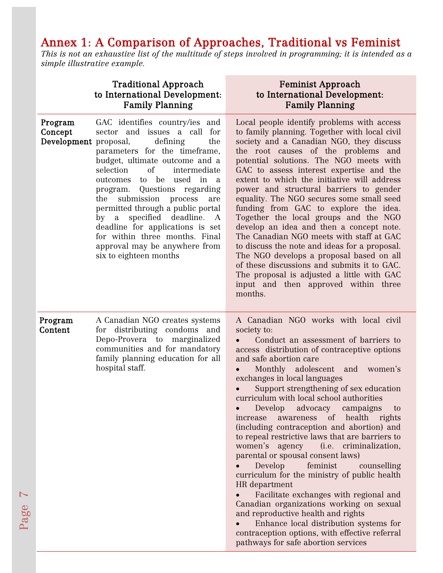## Annex 1: A Comparison of Approaches, Traditional vs Feminist

*This is not an exhaustive list of the multitude of steps involved in programming; it is intended as a simple illustrative example.*

### Traditional Approach to International Development: Family Planning

Page

 $\blacktriangleright$ 

Feminist Approach to International Development: Family Planning

| Program<br>Concept<br>Development proposal, | GAC identifies country/ies and<br>sector and issues a call for<br>defining<br>the<br>parameters for the timeframe,<br>budget, ultimate outcome and a<br><sub>of</sub><br>selection<br>intermediate<br>to be<br>outcomes<br>used in<br>a a<br>program. Questions regarding<br>submission<br>the<br>process<br>are<br>permitted through a public portal<br>specified deadline.<br>by a<br>A<br>deadline for applications is set<br>for within three months. Final<br>approval may be anywhere from<br>six to eighteen months | Local people identify problems with access<br>to family planning. Together with local civil<br>society and a Canadian NGO, they discuss<br>the root causes of the problems and<br>potential solutions. The NGO meets with<br>GAC to assess interest expertise and the<br>extent to which the initiative will address<br>power and structural barriers to gender<br>equality. The NGO secures some small seed<br>funding from GAC to explore the idea.<br>Together the local groups and the NGO<br>develop an idea and then a concept note.<br>The Canadian NGO meets with staff at GAC<br>to discuss the note and ideas for a proposal.<br>The NGO develops a proposal based on all<br>of these discussions and submits it to GAC.<br>The proposal is adjusted a little with GAC<br>input and then approved within three<br>months.                                                                                                                                           |
|---------------------------------------------|----------------------------------------------------------------------------------------------------------------------------------------------------------------------------------------------------------------------------------------------------------------------------------------------------------------------------------------------------------------------------------------------------------------------------------------------------------------------------------------------------------------------------|-------------------------------------------------------------------------------------------------------------------------------------------------------------------------------------------------------------------------------------------------------------------------------------------------------------------------------------------------------------------------------------------------------------------------------------------------------------------------------------------------------------------------------------------------------------------------------------------------------------------------------------------------------------------------------------------------------------------------------------------------------------------------------------------------------------------------------------------------------------------------------------------------------------------------------------------------------------------------------|
| Program<br>Content                          | A Canadian NGO creates systems<br>for distributing condoms and<br>Depo-Provera to marginalized<br>communities and for mandatory<br>family planning education for all<br>hospital staff.                                                                                                                                                                                                                                                                                                                                    | A Canadian NGO works with local civil<br>society to:<br>Conduct an assessment of barriers to<br>access distribution of contraceptive options<br>and safe abortion care<br>Monthly adolescent and<br>women's<br>exchanges in local languages<br>Support strengthening of sex education<br>curriculum with local school authorities<br>advocacy<br>Develop<br>campaigns<br>to<br>awareness of health rights<br>increase<br>(including contraception and abortion) and<br>to repeal restrictive laws that are barriers to<br>women's agency<br>(i.e. criminalization,<br>parental or spousal consent laws)<br>Develop<br>feminist<br>counselling<br>curriculum for the ministry of public health<br>HR department<br>Facilitate exchanges with regional and<br>Canadian organizations working on sexual<br>and reproductive health and rights<br>Enhance local distribution systems for<br>contraception options, with effective referral<br>pathways for safe abortion services |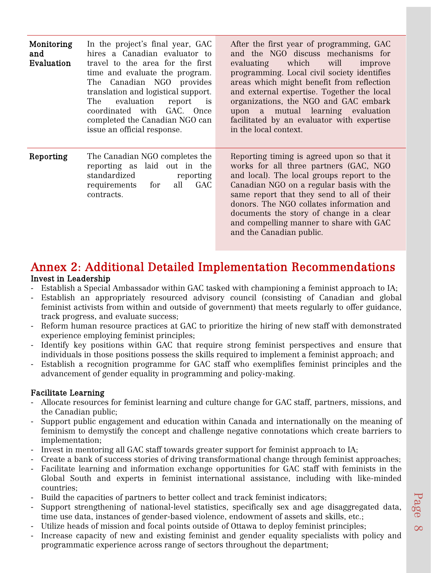| Monitoring<br>and<br>Evaluation | In the project's final year, GAC<br>hires a Canadian evaluator to<br>travel to the area for the first<br>time and evaluate the program.<br>Canadian NGO provides<br>The<br>translation and logistical support.<br>evaluation<br>The<br>report<br>is<br>coordinated with GAC. Once<br>completed the Canadian NGO can<br>issue an official response. | After the first year of programming, GAC<br>and the NGO discuss mechanisms for<br>evaluating which<br>will<br>improve<br>programming. Local civil society identifies<br>areas which might benefit from reflection<br>and external expertise. Together the local<br>organizations, the NGO and GAC embark<br>upon a mutual learning evaluation<br>facilitated by an evaluator with expertise<br>in the local context. |
|---------------------------------|----------------------------------------------------------------------------------------------------------------------------------------------------------------------------------------------------------------------------------------------------------------------------------------------------------------------------------------------------|----------------------------------------------------------------------------------------------------------------------------------------------------------------------------------------------------------------------------------------------------------------------------------------------------------------------------------------------------------------------------------------------------------------------|
| Reporting                       | The Canadian NGO completes the<br>reporting as laid out in the<br>standardized<br>reporting<br><b>GAC</b><br>requirements<br>all<br>for<br>contracts.                                                                                                                                                                                              | Reporting timing is agreed upon so that it<br>works for all three partners (GAC, NGO<br>and local). The local groups report to the<br>Canadian NGO on a regular basis with the<br>same report that they send to all of their<br>donors. The NGO collates information and<br>documents the story of change in a clear<br>and compelling manner to share with GAC<br>and the Canadian public.                          |

## Annex 2: Additional Detailed Implementation Recommendations Invest in Leadership

- Establish a Special Ambassador within GAC tasked with championing a feminist approach to IA; Establish an appropriately resourced advisory council (consisting of Canadian and global
- feminist activists from within and outside of government) that meets regularly to offer guidance, track progress, and evaluate success;
- Reform human resource practices at GAC to prioritize the hiring of new staff with demonstrated experience employing feminist principles;
- Identify key positions within GAC that require strong feminist perspectives and ensure that individuals in those positions possess the skills required to implement a feminist approach; and
- Establish a recognition programme for GAC staff who exemplifies feminist principles and the advancement of gender equality in programming and policy-making.

### Facilitate Learning

- Allocate resources for feminist learning and culture change for GAC staff, partners, missions, and the Canadian public;
- Support public engagement and education within Canada and internationally on the meaning of feminism to demystify the concept and challenge negative connotations which create barriers to implementation;
- Invest in mentoring all GAC staff towards greater support for feminist approach to IA;
- Create a bank of success stories of driving transformational change through feminist approaches;
- Facilitate learning and information exchange opportunities for GAC staff with feminists in the Global South and experts in feminist international assistance, including with like-minded countries;
- Build the capacities of partners to better collect and track feminist indicators;
- Support strengthening of national-level statistics, specifically sex and age disaggregated data, time use data, instances of gender-based violence, endowment of assets and skills, etc.;
- Utilize heads of mission and focal points outside of Ottawa to deploy feminist principles;
- Increase capacity of new and existing feminist and gender equality specialists with policy and programmatic experience across range of sectors throughout the department;